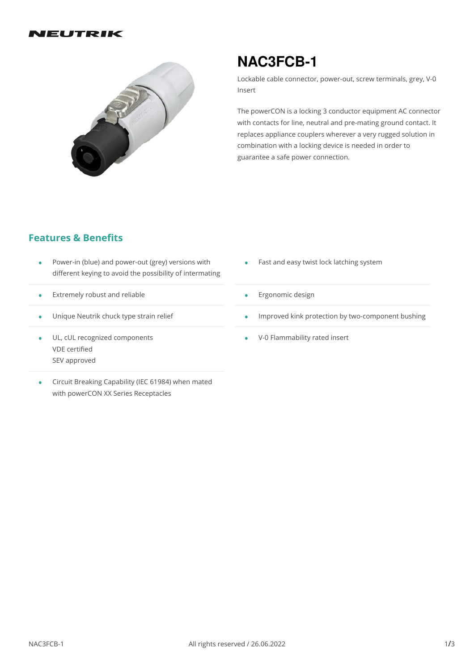#### IEUTRIK



# **NAC3FCB-1**

Lockable cable connector, power-out, screw terminals, grey, V-0 Insert

The powerCON is a locking 3 conductor equipment AC connector with contacts for line, neutral and pre-mating ground contact. It replaces appliance couplers wherever a very rugged solution in combination with a locking device is needed in order to guarantee a safe power connection.

### **Features & Benefits**

- Power-in (blue) and power-out (grey) versions with different keying to avoid the possibility of intermating • •
- $\bullet$  Extremely robust and reliable
- Unique Neutrik chuck type strain relief •
- UL, cUL recognized components VDE certified SEV approved
- Circuit Breaking Capability (IEC 61984) when mated • Circuit Breaking Capability (IEC 61984)<br>with powerCON XX Series Receptacles
- Fast and easy twist lock latching system
- **•** Ergonomic design
- Improved kink protection by two-component bushing
- V-0 Flammability rated insert •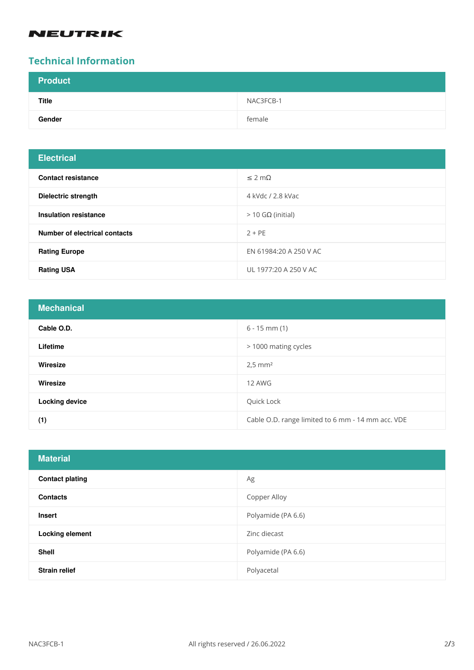# **NEUTRIK**

## **Technical Information**

| <b>Product</b> |           |
|----------------|-----------|
| <b>Title</b>   | NAC3FCB-1 |
| Gender         | female    |

| <b>Electrical</b>                    |                        |
|--------------------------------------|------------------------|
| <b>Contact resistance</b>            | $\leq$ 2 m $\Omega$    |
| <b>Dielectric strength</b>           | 4 kVdc / 2.8 kVac      |
| Insulation resistance                | $>$ 10 GΩ (initial)    |
| <b>Number of electrical contacts</b> | $2 + PE$               |
| <b>Rating Europe</b>                 | EN 61984:20 A 250 V AC |
| <b>Rating USA</b>                    | UL 1977:20 A 250 V AC  |

| <b>Mechanical</b>     |                                                   |
|-----------------------|---------------------------------------------------|
| Cable O.D.            | $6 - 15$ mm $(1)$                                 |
| Lifetime              | > 1000 mating cycles                              |
| Wiresize              | $2,5$ mm <sup>2</sup>                             |
| Wiresize              | 12 AWG                                            |
| <b>Locking device</b> | Quick Lock                                        |
| (1)                   | Cable O.D. range limited to 6 mm - 14 mm acc. VDE |

| <b>Material</b>        |                    |
|------------------------|--------------------|
| <b>Contact plating</b> | Ag                 |
| <b>Contacts</b>        | Copper Alloy       |
| <b>Insert</b>          | Polyamide (PA 6.6) |
| <b>Locking element</b> | Zinc diecast       |
| <b>Shell</b>           | Polyamide (PA 6.6) |
| <b>Strain relief</b>   | Polyacetal         |